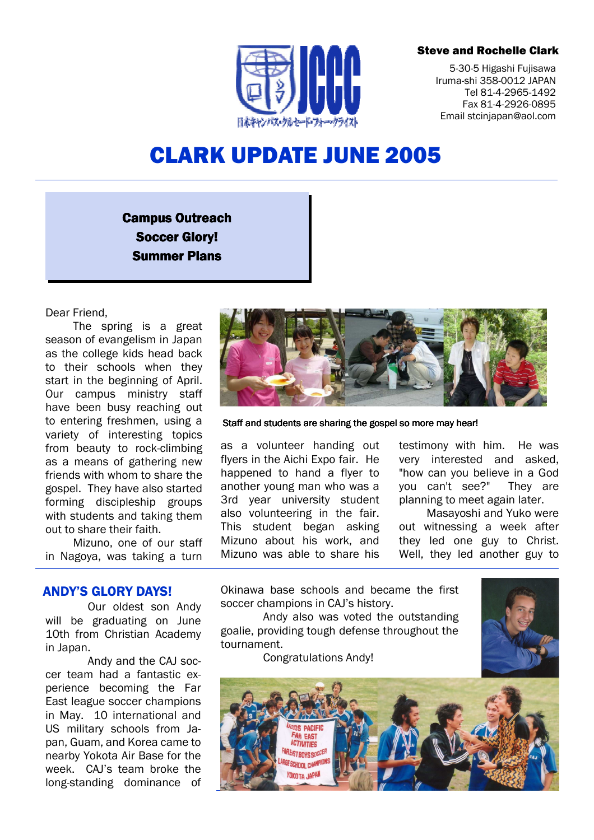## Steve and Rochelle Clark



5-30-5 Higashi Fujisawa Iruma-shi 358-0012 JAPAN Tel 81-4-2965-1492 Fax 81-4-2926-0895 Email stcinjapan@aol.com

# CLARK UPDATE JUNE 2005

# **Campus Outreach Soccer Glory!** Summer Plans

Dear Friend,

The spring is a great season of evangelism in Japan as the college kids head back to their schools when they start in the beginning of April. Our campus ministry staff have been busy reaching out to entering freshmen, using a variety of interesting topics from beauty to rock-climbing as a means of gathering new friends with whom to share the gospel. They have also started forming discipleship groups with students and taking them out to share their faith.

Mizuno, one of our staff in Nagoya, was taking a turn

Staff and students are sharing the gospel so more may hear!

as a volunteer handing out flyers in the Aichi Expo fair. He happened to hand a flyer to another young man who was a 3rd year university student also volunteering in the fair. This student began asking Mizuno about his work, and Mizuno was able to share his

testimony with him. He was very interested and asked, "how can you believe in a God you can't see?" They are planning to meet again later.

Masayoshi and Yuko were out witnessing a week after they led one guy to Christ. Well, they led another guy to

# ANDY'S GLORY DAYS!

Our oldest son Andy will be graduating on June 10th from Christian Academy in Japan.

Andy and the CAJ soccer team had a fantastic experience becoming the Far East league soccer champions in May. 10 international and US military schools from Japan, Guam, and Korea came to nearby Yokota Air Base for the week. CAJ's team broke the long-standing dominance of Okinawa base schools and became the first soccer champions in CAJ's history.

Andy also was voted the outstanding goalie, providing tough defense throughout the tournament.